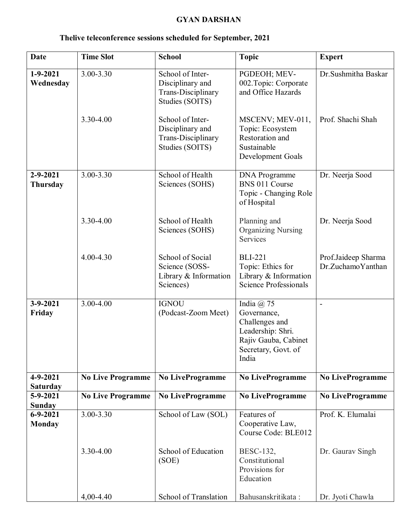## **GYAN DARSHAN**

| <b>Date</b>                       | <b>Time Slot</b>         | <b>School</b>                                                                        | <b>Topic</b>                                                                                                                 | <b>Expert</b>                            |
|-----------------------------------|--------------------------|--------------------------------------------------------------------------------------|------------------------------------------------------------------------------------------------------------------------------|------------------------------------------|
| $1 - 9 - 2021$<br>Wednesday       | $3.00 - 3.30$            | School of Inter-<br>Disciplinary and<br><b>Trans-Disciplinary</b><br>Studies (SOITS) | PGDEOH; MEV-<br>002. Topic: Corporate<br>and Office Hazards                                                                  | Dr.Sushmitha Baskar                      |
|                                   | 3.30-4.00                | School of Inter-<br>Disciplinary and<br>Trans-Disciplinary<br>Studies (SOITS)        | MSCENV; MEV-011,<br>Topic: Ecosystem<br>Restoration and<br>Sustainable<br>Development Goals                                  | Prof. Shachi Shah                        |
| $2 - 9 - 2021$<br><b>Thursday</b> | 3.00-3.30                | School of Health<br>Sciences (SOHS)                                                  | <b>DNA</b> Programme<br>BNS 011 Course<br>Topic - Changing Role<br>of Hospital                                               | Dr. Neerja Sood                          |
|                                   | 3.30-4.00                | School of Health<br>Sciences (SOHS)                                                  | Planning and<br><b>Organizing Nursing</b><br>Services                                                                        | Dr. Neerja Sood                          |
|                                   | 4.00-4.30                | School of Social<br>Science (SOSS-<br>Library $&$ Information<br>Sciences)           | <b>BLI-221</b><br>Topic: Ethics for<br>Library & Information<br><b>Science Professionals</b>                                 | Prof.Jaideep Sharma<br>Dr.ZuchamoYanthan |
| $3-9-2021$<br>Friday              | 3.00-4.00                | <b>IGNOU</b><br>(Podcast-Zoom Meet)                                                  | India $(a)$ 75<br>Governance,<br>Challenges and<br>Leadership: Shri.<br>Rajiv Gauba, Cabinet<br>Secretary, Govt. of<br>India |                                          |
| $4 - 9 - 2021$<br><b>Saturday</b> | <b>No Live Programme</b> | <b>No LiveProgramme</b>                                                              | <b>No LiveProgramme</b>                                                                                                      | <b>No LiveProgramme</b>                  |
| $5 - 9 - 2021$<br>Sunday          | <b>No Live Programme</b> | No LiveProgramme                                                                     | <b>No LiveProgramme</b>                                                                                                      | <b>No LiveProgramme</b>                  |
| $6 - 9 - 2021$<br><b>Monday</b>   | 3.00-3.30                | School of Law (SOL)                                                                  | Features of<br>Cooperative Law,<br>Course Code: BLE012                                                                       | Prof. K. Elumalai                        |
|                                   | 3.30-4.00                | School of Education<br>(SOE)                                                         | BESC-132,<br>Constitutional<br>Provisions for<br>Education                                                                   | Dr. Gaurav Singh                         |
|                                   | $4,00-4.40$              | School of Translation                                                                | Bahusanskritikata:                                                                                                           | Dr. Jyoti Chawla                         |

## **Thelive teleconference sessions scheduled for September, 2021**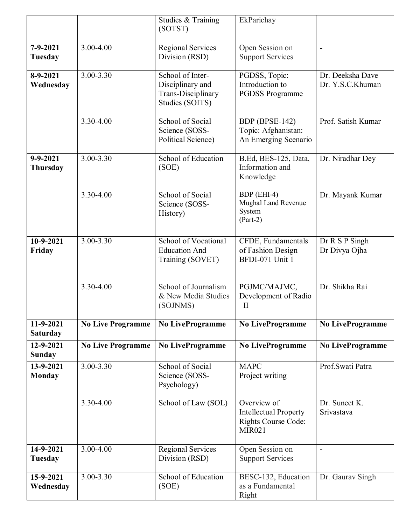|                              |                          | Studies & Training                                                            | EkParichay                                                                                 |                                      |
|------------------------------|--------------------------|-------------------------------------------------------------------------------|--------------------------------------------------------------------------------------------|--------------------------------------|
|                              |                          | (SOTST)                                                                       |                                                                                            |                                      |
| $7 - 9 - 2021$<br>Tuesday    | 3.00-4.00                | <b>Regional Services</b><br>Division (RSD)                                    | Open Session on<br><b>Support Services</b>                                                 | $\blacksquare$                       |
| $8-9-2021$<br>Wednesday      | 3.00-3.30                | School of Inter-<br>Disciplinary and<br>Trans-Disciplinary<br>Studies (SOITS) | PGDSS, Topic:<br>Introduction to<br><b>PGDSS Programme</b>                                 | Dr. Deeksha Dave<br>Dr. Y.S.C.Khuman |
|                              | 3.30-4.00                | School of Social<br>Science (SOSS-<br>Political Science)                      | BDP (BPSE-142)<br>Topic: Afghanistan:<br>An Emerging Scenario                              | Prof. Satish Kumar                   |
| $9 - 9 - 2021$<br>Thursday   | 3.00-3.30                | School of Education<br>(SOE)                                                  | B.Ed, BES-125, Data,<br>Information and<br>Knowledge                                       | Dr. Niradhar Dey                     |
|                              | 3.30-4.00                | School of Social<br>Science (SOSS-<br>History)                                | BDP (EHI-4)<br>Mughal Land Revenue<br>System<br>$(Part-2)$                                 | Dr. Mayank Kumar                     |
| 10-9-2021<br>Friday          | $3.00 - 3.30$            | School of Vocational<br><b>Education And</b><br>Training (SOVET)              | CFDE, Fundamentals<br>of Fashion Design<br>BFDI-071 Unit 1                                 | Dr R S P Singh<br>Dr Divya Ojha      |
|                              | 3.30-4.00                | School of Journalism<br>& New Media Studies<br>(SOJNMS)                       | PGJMC/MAJMC,<br>Development of Radio<br>$-II$                                              | Dr. Shikha Rai                       |
| 11-9-2021<br><b>Saturday</b> | <b>No Live Programme</b> | No LiveProgramme                                                              | <b>No LiveProgramme</b>                                                                    | <b>No LiveProgramme</b>              |
| 12-9-2021<br><b>Sunday</b>   | <b>No Live Programme</b> | <b>No LiveProgramme</b>                                                       | <b>No LiveProgramme</b>                                                                    | <b>No LiveProgramme</b>              |
| 13-9-2021<br><b>Monday</b>   | 3.00-3.30                | School of Social<br>Science (SOSS-<br>Psychology)                             | <b>MAPC</b><br>Project writing                                                             | Prof.Swati Patra                     |
|                              | 3.30-4.00                | School of Law (SOL)                                                           | Overview of<br><b>Intellectual Property</b><br><b>Rights Course Code:</b><br><b>MIR021</b> | Dr. Suneet K.<br>Srivastava          |
| 14-9-2021<br>Tuesday         | 3.00-4.00                | <b>Regional Services</b><br>Division (RSD)                                    | Open Session on<br><b>Support Services</b>                                                 | $\blacksquare$                       |
| 15-9-2021<br>Wednesday       | 3.00-3.30                | School of Education<br>(SOE)                                                  | BESC-132, Education<br>as a Fundamental<br>Right                                           | Dr. Gaurav Singh                     |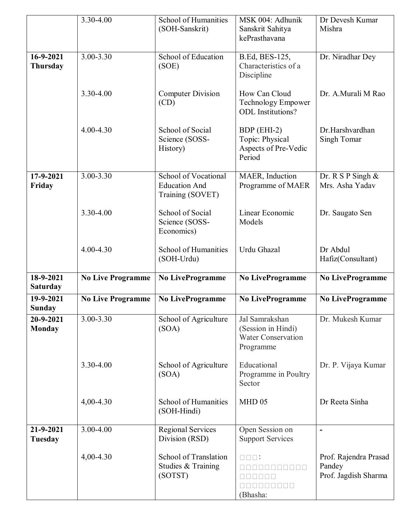|                              | 3.30-4.00                | School of Humanities<br>(SOH-Sanskrit)                           | MSK 004: Adhunik<br>Sanskrit Sahitya<br>kePrasthavana                          | Dr Devesh Kumar<br>Mishra                               |
|------------------------------|--------------------------|------------------------------------------------------------------|--------------------------------------------------------------------------------|---------------------------------------------------------|
| 16-9-2021<br>Thursday        | $3.00 - 3.30$            | School of Education<br>(SOE)                                     | B.Ed, BES-125,<br>Characteristics of a<br>Discipline                           | Dr. Niradhar Dey                                        |
|                              | 3.30-4.00                | <b>Computer Division</b><br>(CD)                                 | How Can Cloud<br>Technology Empower<br><b>ODL</b> Institutions?                | Dr. A.Murali M Rao                                      |
|                              | 4.00-4.30                | School of Social<br>Science (SOSS-<br>History)                   | BDP (EHI-2)<br>Topic: Physical<br>Aspects of Pre-Vedic<br>Period               | Dr.Harshvardhan<br>Singh Tomar                          |
| 17-9-2021<br>Friday          | $3.00 - 3.30$            | School of Vocational<br><b>Education And</b><br>Training (SOVET) | MAER, Induction<br>Programme of MAER                                           | Dr. R S P Singh $&$<br>Mrs. Asha Yadav                  |
|                              | 3.30-4.00                | School of Social<br>Science (SOSS-<br>Economics)                 | Linear Economic<br>Models                                                      | Dr. Saugato Sen                                         |
|                              | 4.00-4.30                | School of Humanities<br>(SOH-Urdu)                               | Urdu Ghazal                                                                    | Dr Abdul<br>Hafiz(Consultant)                           |
| 18-9-2021<br><b>Saturday</b> | <b>No Live Programme</b> | <b>No LiveProgramme</b>                                          | No LiveProgramme                                                               | <b>No LiveProgramme</b>                                 |
| 19-9-2021<br><b>Sunday</b>   | <b>No Live Programme</b> | No LiveProgramme                                                 | No LiveProgramme                                                               | <b>No LiveProgramme</b>                                 |
| 20-9-2021<br>Monday          | 3.00-3.30                | School of Agriculture<br>(SOA)                                   | Jal Samrakshan<br>(Session in Hindi)<br><b>Water Conservation</b><br>Programme | Dr. Mukesh Kumar                                        |
|                              | 3.30-4.00                | School of Agriculture<br>(SOA)                                   | Educational<br>Programme in Poultry<br>Sector                                  | Dr. P. Vijaya Kumar                                     |
|                              | $4,00 - 4.30$            | School of Humanities<br>(SOH-Hindi)                              | MHD 05                                                                         | Dr Reeta Sinha                                          |
| 21-9-2021<br><b>Tuesday</b>  | 3.00-4.00                | Regional Services<br>Division (RSD)                              | Open Session on<br><b>Support Services</b>                                     | $\blacksquare$                                          |
|                              | $4,00 - 4.30$            | School of Translation<br>Studies & Training<br>(SOTST)           | $\square \, \square \, \square :$<br>000000000<br>(Bhasha:                     | Prof. Rajendra Prasad<br>Pandey<br>Prof. Jagdish Sharma |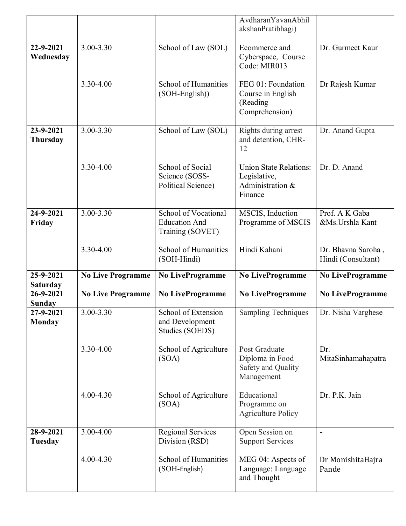|                              |                          |                                                                  | AvdharanYavanAbhil<br>akshanPratibhagi)                                      |                                          |
|------------------------------|--------------------------|------------------------------------------------------------------|------------------------------------------------------------------------------|------------------------------------------|
| 22-9-2021<br>Wednesday       | 3.00-3.30                | School of Law (SOL)                                              | Ecommerce and<br>Cyberspace, Course<br>Code: MIR013                          | Dr. Gurmeet Kaur                         |
|                              | 3.30-4.00                | School of Humanities<br>(SOH-English))                           | FEG 01: Foundation<br>Course in English<br>(Reading<br>Comprehension)        | Dr Rajesh Kumar                          |
| 23-9-2021<br><b>Thursday</b> | 3.00-3.30                | School of Law (SOL)                                              | Rights during arrest<br>and detention, CHR-<br>12                            | Dr. Anand Gupta                          |
|                              | 3.30-4.00                | School of Social<br>Science (SOSS-<br>Political Science)         | <b>Union State Relations:</b><br>Legislative,<br>Administration &<br>Finance | Dr. D. Anand                             |
| 24-9-2021<br>Friday          | $3.00 - 3.30$            | School of Vocational<br><b>Education And</b><br>Training (SOVET) | MSCIS, Induction<br>Programme of MSCIS                                       | Prof. A K Gaba<br>&Ms.Urshla Kant        |
|                              | 3.30-4.00                | School of Humanities<br>(SOH-Hindi)                              | Hindi Kahani                                                                 | Dr. Bhavna Saroha,<br>Hindi (Consultant) |
| 25-9-2021<br><b>Saturday</b> | <b>No Live Programme</b> | <b>No LiveProgramme</b>                                          | <b>No LiveProgramme</b>                                                      | No LiveProgramme                         |
| 26-9-2021<br><b>Sunday</b>   | <b>No Live Programme</b> | No LiveProgramme                                                 | <b>No LiveProgramme</b>                                                      | No LiveProgramme                         |
| 27-9-2021<br><b>Monday</b>   | 3.00-3.30                | School of Extension<br>and Development<br>Studies (SOEDS)        | <b>Sampling Techniques</b>                                                   | Dr. Nisha Varghese                       |
|                              | 3.30-4.00                | School of Agriculture<br>(SOA)                                   | Post Graduate<br>Diploma in Food<br>Safety and Quality<br>Management         | Dr.<br>MitaSinhamahapatra                |
|                              | $4.00 - 4.30$            | School of Agriculture<br>(SOA)                                   | Educational<br>Programme on<br><b>Agriculture Policy</b>                     | Dr. P.K. Jain                            |
| 28-9-2021<br>Tuesday         | 3.00-4.00                | <b>Regional Services</b><br>Division (RSD)                       | Open Session on<br><b>Support Services</b>                                   |                                          |
|                              | 4.00-4.30                | School of Humanities<br>(SOH-English)                            | MEG 04: Aspects of<br>Language: Language                                     | Dr MonishitaHajra<br>Pande               |